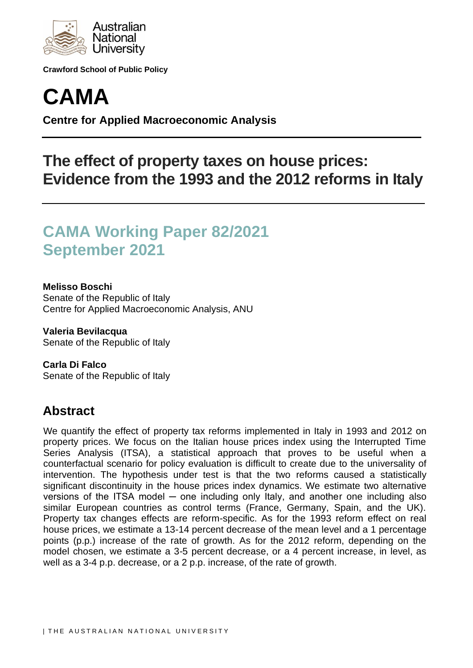

**Crawford School of Public Policy**



**Centre for Applied Macroeconomic Analysis**

# **The effect of property taxes on house prices: Evidence from the 1993 and the 2012 reforms in Italy**

# **CAMA Working Paper 82/2021 September 2021**

### **Melisso Boschi**

Senate of the Republic of Italy Centre for Applied Macroeconomic Analysis, ANU

**Valeria Bevilacqua** Senate of the Republic of Italy

**Carla Di Falco** Senate of the Republic of Italy

## **Abstract**

We quantify the effect of property tax reforms implemented in Italy in 1993 and 2012 on property prices. We focus on the Italian house prices index using the Interrupted Time Series Analysis (ITSA), a statistical approach that proves to be useful when a counterfactual scenario for policy evaluation is difficult to create due to the universality of intervention. The hypothesis under test is that the two reforms caused a statistically significant discontinuity in the house prices index dynamics. We estimate two alternative versions of the ITSA model — one including only Italy, and another one including also similar European countries as control terms (France, Germany, Spain, and the UK). Property tax changes effects are reform-specific. As for the 1993 reform effect on real house prices, we estimate a 13-14 percent decrease of the mean level and a 1 percentage points (p.p.) increase of the rate of growth. As for the 2012 reform, depending on the model chosen, we estimate a 3-5 percent decrease, or a 4 percent increase, in level, as well as a 3-4 p.p. decrease, or a 2 p.p. increase, of the rate of growth.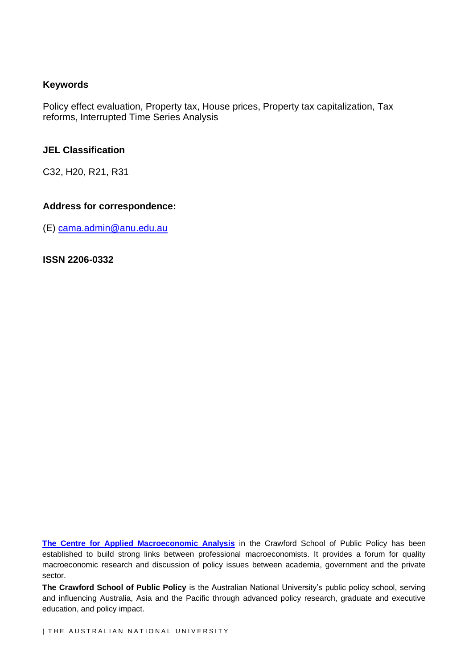### **Keywords**

Policy effect evaluation, Property tax, House prices, Property tax capitalization, Tax reforms, Interrupted Time Series Analysis

### **JEL Classification**

C32, H20, R21, R31

### **Address for correspondence:**

(E) [cama.admin@anu.edu.au](mailto:cama.admin@anu.edu.au)

**ISSN 2206-0332**

**[The Centre for Applied Macroeconomic Analysis](http://cama.crawford.anu.edu.au/)** in the Crawford School of Public Policy has been established to build strong links between professional macroeconomists. It provides a forum for quality macroeconomic research and discussion of policy issues between academia, government and the private sector.

**The Crawford School of Public Policy** is the Australian National University's public policy school, serving and influencing Australia, Asia and the Pacific through advanced policy research, graduate and executive education, and policy impact.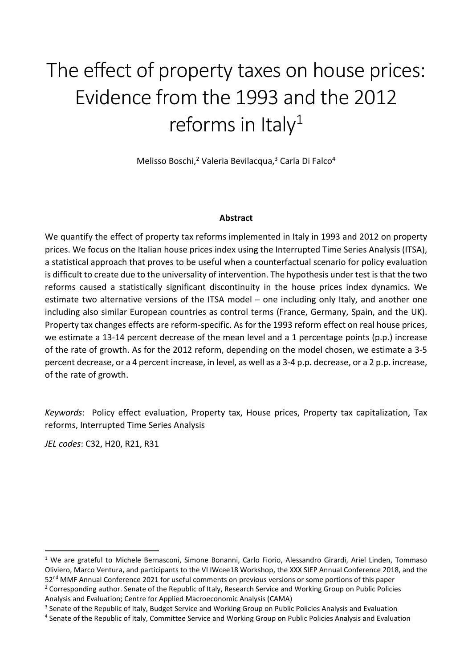# The effect of property taxes on house prices: Evidence from the 1993 and the 2012 reforms in Italy $1$

Melisso Boschi,<sup>2</sup> Valeria Bevilacqua,<sup>3</sup> Carla Di Falco<sup>4</sup>

#### **Abstract**

We quantify the effect of property tax reforms implemented in Italy in 1993 and 2012 on property prices. We focus on the Italian house prices index using the Interrupted Time Series Analysis (ITSA), a statistical approach that proves to be useful when a counterfactual scenario for policy evaluation is difficult to create due to the universality of intervention. The hypothesis under test is that the two reforms caused a statistically significant discontinuity in the house prices index dynamics. We estimate two alternative versions of the ITSA model – one including only Italy, and another one including also similar European countries as control terms (France, Germany, Spain, and the UK). Property tax changes effects are reform-specific. As for the 1993 reform effect on real house prices, we estimate a 13-14 percent decrease of the mean level and a 1 percentage points (p.p.) increase of the rate of growth. As for the 2012 reform, depending on the model chosen, we estimate a 3-5 percent decrease, or a 4 percent increase, in level, as well as a 3-4 p.p. decrease, or a 2 p.p. increase, of the rate of growth.

*Keywords*: Policy effect evaluation, Property tax, House prices, Property tax capitalization, Tax reforms, Interrupted Time Series Analysis

*JEL codes*: C32, H20, R21, R31

l

<sup>&</sup>lt;sup>1</sup> We are grateful to Michele Bernasconi, Simone Bonanni, Carlo Fiorio, Alessandro Girardi, Ariel Linden, Tommaso Oliviero, Marco Ventura, and participants to the VI IWcee18 Workshop, the XXX SIEP Annual Conference 2018, and the 52<sup>nd</sup> MMF Annual Conference 2021 for useful comments on previous versions or some portions of this paper

<sup>&</sup>lt;sup>2</sup> Corresponding author. Senate of the Republic of Italy, Research Service and Working Group on Public Policies Analysis and Evaluation; Centre for Applied Macroeconomic Analysis (CAMA)

<sup>&</sup>lt;sup>3</sup> Senate of the Republic of Italy, Budget Service and Working Group on Public Policies Analysis and Evaluation

<sup>4</sup> Senate of the Republic of Italy, Committee Service and Working Group on Public Policies Analysis and Evaluation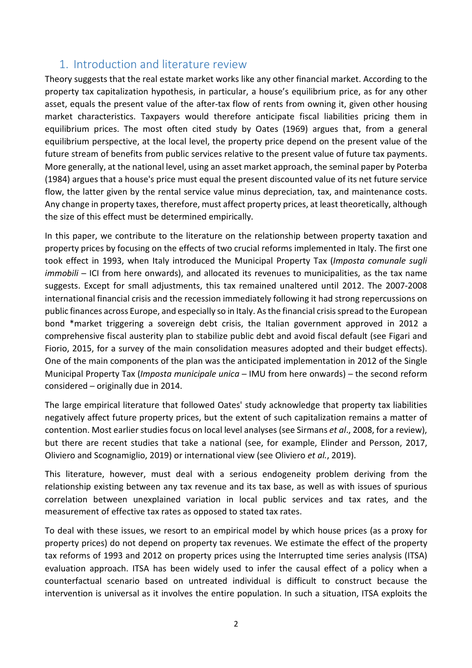## 1. Introduction and literature review

Theory suggests that the real estate market works like any other financial market. According to the property tax capitalization hypothesis, in particular, a house's equilibrium price, as for any other asset, equals the present value of the after-tax flow of rents from owning it, given other housing market characteristics. Taxpayers would therefore anticipate fiscal liabilities pricing them in equilibrium prices. The most often cited study by Oates (1969) argues that, from a general equilibrium perspective, at the local level, the property price depend on the present value of the future stream of benefits from public services relative to the present value of future tax payments. More generally, at the national level, using an asset market approach, the seminal paper by Poterba (1984) argues that a house's price must equal the present discounted value of its net future service flow, the latter given by the rental service value minus depreciation, tax, and maintenance costs. Any change in property taxes, therefore, must affect property prices, at least theoretically, although the size of this effect must be determined empirically.

In this paper, we contribute to the literature on the relationship between property taxation and property prices by focusing on the effects of two crucial reforms implemented in Italy. The first one took effect in 1993, when Italy introduced the Municipal Property Tax (*Imposta comunale sugli immobili* – ICI from here onwards), and allocated its revenues to municipalities, as the tax name suggests. Except for small adjustments, this tax remained unaltered until 2012. The 2007-2008 international financial crisis and the recession immediately following it had strong repercussions on public finances across Europe, and especially so in Italy. As the financial crisis spread to the European bond \*market triggering a sovereign debt crisis, the Italian government approved in 2012 a comprehensive fiscal austerity plan to stabilize public debt and avoid fiscal default (see Figari and Fiorio, 2015, for a survey of the main consolidation measures adopted and their budget effects). One of the main components of the plan was the anticipated implementation in 2012 of the Single Municipal Property Tax (*Imposta municipale unica* ─ IMU from here onwards) ─ the second reform considered ─ originally due in 2014.

The large empirical literature that followed Oates' study acknowledge that property tax liabilities negatively affect future property prices, but the extent of such capitalization remains a matter of contention. Most earlier studies focus on local level analyses (see Sirmans *et al*., 2008, for a review), but there are recent studies that take a national (see, for example, Elinder and Persson, 2017, Oliviero and Scognamiglio, 2019) or international view (see Oliviero *et al.*, 2019).

This literature, however, must deal with a serious endogeneity problem deriving from the relationship existing between any tax revenue and its tax base, as well as with issues of spurious correlation between unexplained variation in local public services and tax rates, and the measurement of effective tax rates as opposed to stated tax rates.

To deal with these issues, we resort to an empirical model by which house prices (as a proxy for property prices) do not depend on property tax revenues. We estimate the effect of the property tax reforms of 1993 and 2012 on property prices using the Interrupted time series analysis (ITSA) evaluation approach. ITSA has been widely used to infer the causal effect of a policy when a counterfactual scenario based on untreated individual is difficult to construct because the intervention is universal as it involves the entire population. In such a situation, ITSA exploits the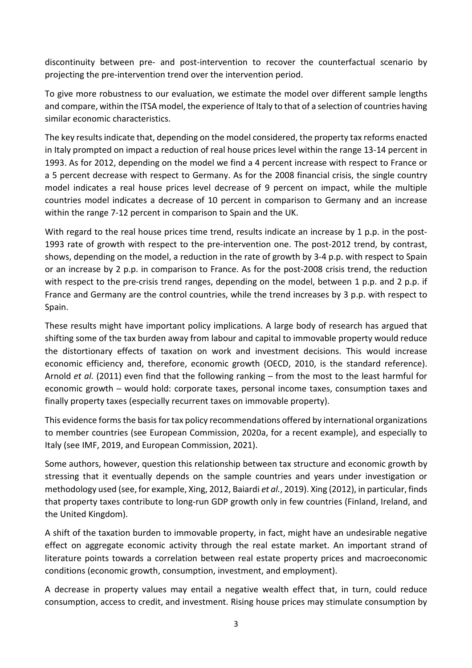discontinuity between pre- and post-intervention to recover the counterfactual scenario by projecting the pre-intervention trend over the intervention period.

To give more robustness to our evaluation, we estimate the model over different sample lengths and compare, within the ITSA model, the experience of Italy to that of a selection of countries having similar economic characteristics.

The key results indicate that, depending on the model considered, the property tax reforms enacted in Italy prompted on impact a reduction of real house prices level within the range 13-14 percent in 1993. As for 2012, depending on the model we find a 4 percent increase with respect to France or a 5 percent decrease with respect to Germany. As for the 2008 financial crisis, the single country model indicates a real house prices level decrease of 9 percent on impact, while the multiple countries model indicates a decrease of 10 percent in comparison to Germany and an increase within the range 7-12 percent in comparison to Spain and the UK.

With regard to the real house prices time trend, results indicate an increase by 1 p.p. in the post-1993 rate of growth with respect to the pre-intervention one. The post-2012 trend, by contrast, shows, depending on the model, a reduction in the rate of growth by 3-4 p.p. with respect to Spain or an increase by 2 p.p. in comparison to France. As for the post-2008 crisis trend, the reduction with respect to the pre-crisis trend ranges, depending on the model, between 1 p.p. and 2 p.p. if France and Germany are the control countries, while the trend increases by 3 p.p. with respect to Spain.

These results might have important policy implications. A large body of research has argued that shifting some of the tax burden away from labour and capital to immovable property would reduce the distortionary effects of taxation on work and investment decisions. This would increase economic efficiency and, therefore, economic growth (OECD, 2010, is the standard reference). Arnold *et al.* (2011) even find that the following ranking – from the most to the least harmful for economic growth – would hold: corporate taxes, personal income taxes, consumption taxes and finally property taxes (especially recurrent taxes on immovable property).

This evidence forms the basis for tax policy recommendations offered by international organizations to member countries (see European Commission, 2020a, for a recent example), and especially to Italy (see IMF, 2019, and European Commission, 2021).

Some authors, however, question this relationship between tax structure and economic growth by stressing that it eventually depends on the sample countries and years under investigation or methodology used (see, for example, Xing, 2012, Baiardi *et al.*, 2019). Xing (2012), in particular, finds that property taxes contribute to long-run GDP growth only in few countries (Finland, Ireland, and the United Kingdom).

A shift of the taxation burden to immovable property, in fact, might have an undesirable negative effect on aggregate economic activity through the real estate market. An important strand of literature points towards a correlation between real estate property prices and macroeconomic conditions (economic growth, consumption, investment, and employment).

A decrease in property values may entail a negative wealth effect that, in turn, could reduce consumption, access to credit, and investment. Rising house prices may stimulate consumption by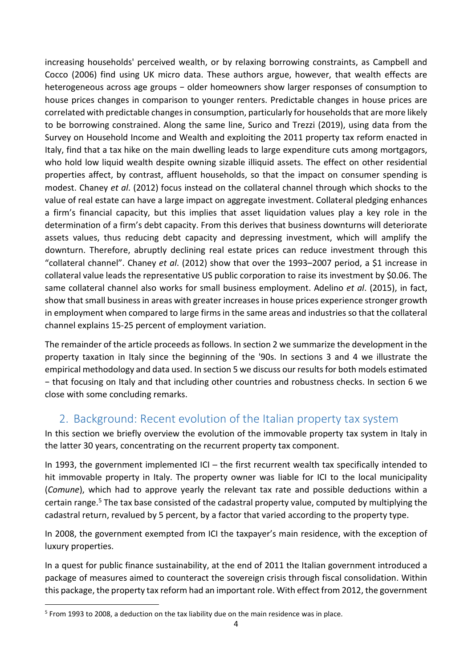increasing households' perceived wealth, or by relaxing borrowing constraints, as Campbell and Cocco (2006) find using UK micro data. These authors argue, however, that wealth effects are heterogeneous across age groups – older homeowners show larger responses of consumption to house prices changes in comparison to younger renters. Predictable changes in house prices are correlated with predictable changes in consumption, particularly for households that are more likely to be borrowing constrained. Along the same line, Surico and Trezzi (2019), using data from the Survey on Household Income and Wealth and exploiting the 2011 property tax reform enacted in Italy, find that a tax hike on the main dwelling leads to large expenditure cuts among mortgagors, who hold low liquid wealth despite owning sizable illiquid assets. The effect on other residential properties affect, by contrast, affluent households, so that the impact on consumer spending is modest. Chaney *et al*. (2012) focus instead on the collateral channel through which shocks to the value of real estate can have a large impact on aggregate investment. Collateral pledging enhances a firm's financial capacity, but this implies that asset liquidation values play a key role in the determination of a firm's debt capacity. From this derives that business downturns will deteriorate assets values, thus reducing debt capacity and depressing investment, which will amplify the downturn. Therefore, abruptly declining real estate prices can reduce investment through this "collateral channel". Chaney *et al*. (2012) show that over the 1993–2007 period, a \$1 increase in collateral value leads the representative US public corporation to raise its investment by \$0.06. The same collateral channel also works for small business employment. Adelino *et al*. (2015), in fact, show that small business in areas with greater increases in house prices experience stronger growth in employment when compared to large firms in the same areas and industries so that the collateral channel explains 15-25 percent of employment variation.

The remainder of the article proceeds as follows. In section 2 we summarize the development in the property taxation in Italy since the beginning of the '90s. In sections 3 and 4 we illustrate the empirical methodology and data used. In section 5 we discuss our results for both models estimated − that focusing on Italy and that including other countries and robustness checks. In section 6 we close with some concluding remarks.

## 2. Background: Recent evolution of the Italian property tax system

In this section we briefly overview the evolution of the immovable property tax system in Italy in the latter 30 years, concentrating on the recurrent property tax component.

In 1993, the government implemented ICI – the first recurrent wealth tax specifically intended to hit immovable property in Italy. The property owner was liable for ICI to the local municipality (*Comune*), which had to approve yearly the relevant tax rate and possible deductions within a certain range.<sup>5</sup> The tax base consisted of the cadastral property value, computed by multiplying the cadastral return, revalued by 5 percent, by a factor that varied according to the property type.

In 2008, the government exempted from ICI the taxpayer's main residence, with the exception of luxury properties.

In a quest for public finance sustainability, at the end of 2011 the Italian government introduced a package of measures aimed to counteract the sovereign crisis through fiscal consolidation. Within this package, the property tax reform had an important role. With effect from 2012, the government

 $\overline{\phantom{0}}$ 

<sup>&</sup>lt;sup>5</sup> From 1993 to 2008, a deduction on the tax liability due on the main residence was in place.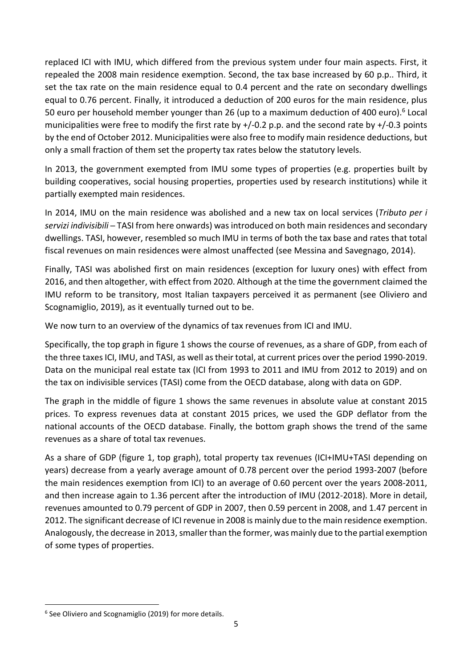replaced ICI with IMU, which differed from the previous system under four main aspects. First, it repealed the 2008 main residence exemption. Second, the tax base increased by 60 p.p.. Third, it set the tax rate on the main residence equal to 0.4 percent and the rate on secondary dwellings equal to 0.76 percent. Finally, it introduced a deduction of 200 euros for the main residence, plus 50 euro per household member younger than 26 (up to a maximum deduction of 400 euro).<sup>6</sup> Local municipalities were free to modify the first rate by +/-0.2 p.p. and the second rate by +/-0.3 points by the end of October 2012. Municipalities were also free to modify main residence deductions, but only a small fraction of them set the property tax rates below the statutory levels.

In 2013, the government exempted from IMU some types of properties (e.g. properties built by building cooperatives, social housing properties, properties used by research institutions) while it partially exempted main residences.

In 2014, IMU on the main residence was abolished and a new tax on local services (*Tributo per i servizi indivisibili* ─ TASI from here onwards) was introduced on both main residences and secondary dwellings. TASI, however, resembled so much IMU in terms of both the tax base and rates that total fiscal revenues on main residences were almost unaffected (see Messina and Savegnago, 2014).

Finally, TASI was abolished first on main residences (exception for luxury ones) with effect from 2016, and then altogether, with effect from 2020. Although at the time the government claimed the IMU reform to be transitory, most Italian taxpayers perceived it as permanent (see Oliviero and Scognamiglio, 2019), as it eventually turned out to be.

We now turn to an overview of the dynamics of tax revenues from ICI and IMU.

Specifically, the top graph in figure 1 shows the course of revenues, as a share of GDP, from each of the three taxes ICI, IMU, and TASI, as well as their total, at current prices over the period 1990-2019. Data on the municipal real estate tax (ICI from 1993 to 2011 and IMU from 2012 to 2019) and on the tax on indivisible services (TASI) come from the OECD database, along with data on GDP.

The graph in the middle of figure 1 shows the same revenues in absolute value at constant 2015 prices. To express revenues data at constant 2015 prices, we used the GDP deflator from the national accounts of the OECD database. Finally, the bottom graph shows the trend of the same revenues as a share of total tax revenues.

As a share of GDP (figure 1, top graph), total property tax revenues (ICI+IMU+TASI depending on years) decrease from a yearly average amount of 0.78 percent over the period 1993-2007 (before the main residences exemption from ICI) to an average of 0.60 percent over the years 2008-2011, and then increase again to 1.36 percent after the introduction of IMU (2012-2018). More in detail, revenues amounted to 0.79 percent of GDP in 2007, then 0.59 percent in 2008, and 1.47 percent in 2012. The significant decrease of ICI revenue in 2008 is mainly due to the main residence exemption. Analogously, the decrease in 2013, smaller than the former, was mainly due to the partial exemption of some types of properties.

 $\overline{\phantom{0}}$ 

<sup>&</sup>lt;sup>6</sup> See Oliviero and Scognamiglio (2019) for more details.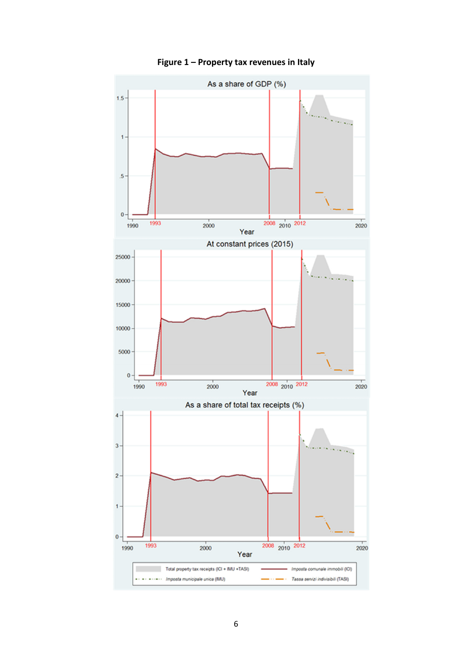

**Figure 1 – Property tax revenues in Italy**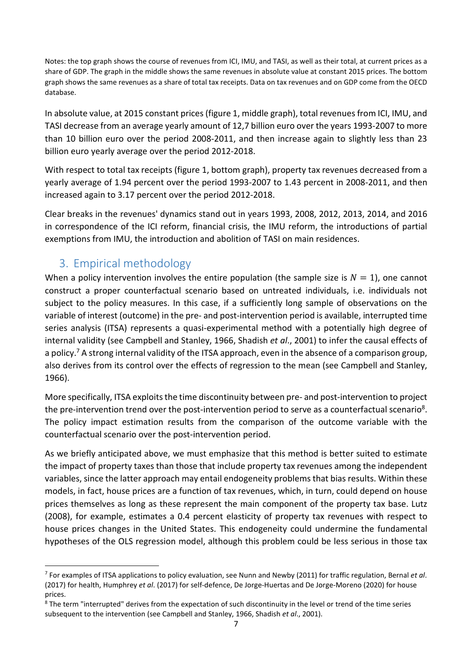Notes: the top graph shows the course of revenues from ICI, IMU, and TASI, as well as their total, at current prices as a share of GDP. The graph in the middle shows the same revenues in absolute value at constant 2015 prices. The bottom graph shows the same revenues as a share of total tax receipts. Data on tax revenues and on GDP come from the OECD database.

In absolute value, at 2015 constant prices (figure 1, middle graph), total revenues from ICI, IMU, and TASI decrease from an average yearly amount of 12,7 billion euro over the years 1993-2007 to more than 10 billion euro over the period 2008-2011, and then increase again to slightly less than 23 billion euro yearly average over the period 2012-2018.

With respect to total tax receipts (figure 1, bottom graph), property tax revenues decreased from a yearly average of 1.94 percent over the period 1993-2007 to 1.43 percent in 2008-2011, and then increased again to 3.17 percent over the period 2012-2018.

Clear breaks in the revenues' dynamics stand out in years 1993, 2008, 2012, 2013, 2014, and 2016 in correspondence of the ICI reform, financial crisis, the IMU reform, the introductions of partial exemptions from IMU, the introduction and abolition of TASI on main residences.

## 3. Empirical methodology

l

When a policy intervention involves the entire population (the sample size is  $N = 1$ ), one cannot construct a proper counterfactual scenario based on untreated individuals, i.e. individuals not subject to the policy measures. In this case, if a sufficiently long sample of observations on the variable of interest (outcome) in the pre- and post-intervention period is available, interrupted time series analysis (ITSA) represents a quasi-experimental method with a potentially high degree of internal validity (see Campbell and Stanley, 1966, Shadish *et al*., 2001) to infer the causal effects of a policy.<sup>7</sup> A strong internal validity of the ITSA approach, even in the absence of a comparison group, also derives from its control over the effects of regression to the mean (see Campbell and Stanley, 1966).

More specifically, ITSA exploits the time discontinuity between pre- and post-intervention to project the pre-intervention trend over the post-intervention period to serve as a counterfactual scenario<sup>8</sup>. The policy impact estimation results from the comparison of the outcome variable with the counterfactual scenario over the post-intervention period.

As we briefly anticipated above, we must emphasize that this method is better suited to estimate the impact of property taxes than those that include property tax revenues among the independent variables, since the latter approach may entail endogeneity problems that bias results. Within these models, in fact, house prices are a function of tax revenues, which, in turn, could depend on house prices themselves as long as these represent the main component of the property tax base. Lutz (2008), for example, estimates a 0.4 percent elasticity of property tax revenues with respect to house prices changes in the United States. This endogeneity could undermine the fundamental hypotheses of the OLS regression model, although this problem could be less serious in those tax

<sup>7</sup> For examples of ITSA applications to policy evaluation, see Nunn and Newby (2011) for traffic regulation, Bernal *et al*. (2017) for health, Humphrey *et al*. (2017) for self-defence, De Jorge-Huertas and De Jorge-Moreno (2020) for house prices.

<sup>&</sup>lt;sup>8</sup> The term "interrupted" derives from the expectation of such discontinuity in the level or trend of the time series subsequent to the intervention (see Campbell and Stanley, 1966, Shadish *et al*., 2001).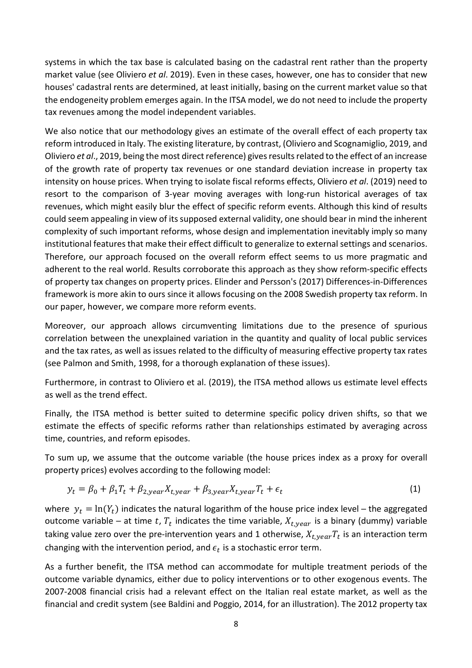systems in which the tax base is calculated basing on the cadastral rent rather than the property market value (see Oliviero *et al*. 2019). Even in these cases, however, one has to consider that new houses' cadastral rents are determined, at least initially, basing on the current market value so that the endogeneity problem emerges again. In the ITSA model, we do not need to include the property tax revenues among the model independent variables.

We also notice that our methodology gives an estimate of the overall effect of each property tax reform introduced in Italy. The existing literature, by contrast, (Oliviero and Scognamiglio, 2019, and Oliviero *et al*., 2019, being the most direct reference) gives results related to the effect of an increase of the growth rate of property tax revenues or one standard deviation increase in property tax intensity on house prices. When trying to isolate fiscal reforms effects, Oliviero *et al*. (2019) need to resort to the comparison of 3-year moving averages with long-run historical averages of tax revenues, which might easily blur the effect of specific reform events. Although this kind of results could seem appealing in view of its supposed external validity, one should bear in mind the inherent complexity of such important reforms, whose design and implementation inevitably imply so many institutional features that make their effect difficult to generalize to external settings and scenarios. Therefore, our approach focused on the overall reform effect seems to us more pragmatic and adherent to the real world. Results corroborate this approach as they show reform-specific effects of property tax changes on property prices. Elinder and Persson's (2017) Differences-in-Differences framework is more akin to ours since it allows focusing on the 2008 Swedish property tax reform. In our paper, however, we compare more reform events.

Moreover, our approach allows circumventing limitations due to the presence of spurious correlation between the unexplained variation in the quantity and quality of local public services and the tax rates, as well as issues related to the difficulty of measuring effective property tax rates (see Palmon and Smith, 1998, for a thorough explanation of these issues).

Furthermore, in contrast to Oliviero et al. (2019), the ITSA method allows us estimate level effects as well as the trend effect.

Finally, the ITSA method is better suited to determine specific policy driven shifts, so that we estimate the effects of specific reforms rather than relationships estimated by averaging across time, countries, and reform episodes.

To sum up, we assume that the outcome variable (the house prices index as a proxy for overall property prices) evolves according to the following model:

$$
y_t = \beta_0 + \beta_1 T_t + \beta_{2,year} X_{t,year} + \beta_{3,year} X_{t,year} T_t + \epsilon_t
$$
\n(1)

where  $y_t = \ln(Y_t)$  indicates the natural logarithm of the house price index level – the aggregated outcome variable – at time t,  $T_t$  indicates the time variable,  $X_{t, year}$  is a binary (dummy) variable taking value zero over the pre-intervention years and 1 otherwise,  $X_{t, year}T_t$  is an interaction term changing with the intervention period, and  $\epsilon_t$  is a stochastic error term.

As a further benefit, the ITSA method can accommodate for multiple treatment periods of the outcome variable dynamics, either due to policy interventions or to other exogenous events. The 2007-2008 financial crisis had a relevant effect on the Italian real estate market, as well as the financial and credit system (see Baldini and Poggio, 2014, for an illustration). The 2012 property tax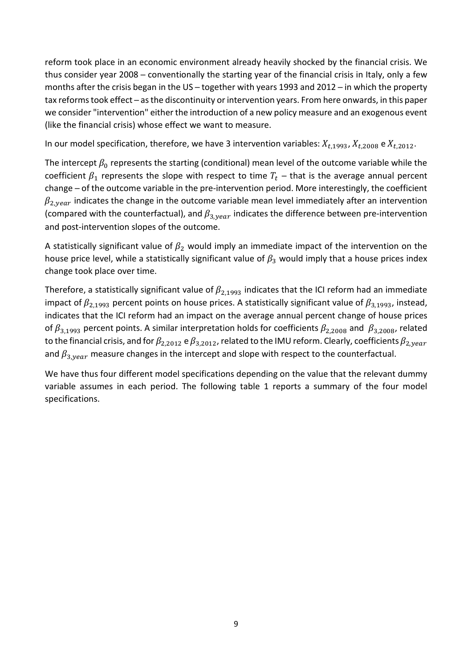reform took place in an economic environment already heavily shocked by the financial crisis. We thus consider year 2008 – conventionally the starting year of the financial crisis in Italy, only a few months after the crisis began in the US – together with years 1993 and 2012 – in which the property tax reforms took effect - as the discontinuity or intervention years. From here onwards, in this paper we consider "intervention" either the introduction of a new policy measure and an exogenous event (like the financial crisis) whose effect we want to measure.

In our model specification, therefore, we have 3 intervention variables:  $X_{t,1993}$ ,  $X_{t,2008}$  e  $X_{t,2012}$ .

The intercept  $\beta_0$  represents the starting (conditional) mean level of the outcome variable while the coefficient  $\beta_1$  represents the slope with respect to time  $T_t$  – that is the average annual percent change - of the outcome variable in the pre-intervention period. More interestingly, the coefficient  $\beta_{2,year}$  indicates the change in the outcome variable mean level immediately after an intervention (compared with the counterfactual), and  $\beta_{3,year}$  indicates the difference between pre-intervention and post-intervention slopes of the outcome.

A statistically significant value of  $\beta_2$  would imply an immediate impact of the intervention on the house price level, while a statistically significant value of  $\beta_3$  would imply that a house prices index change took place over time.

Therefore, a statistically significant value of  $\beta_{2.1993}$  indicates that the ICI reform had an immediate impact of  $\beta_{2,1993}$  percent points on house prices. A statistically significant value of  $\beta_{3,1993}$ , instead, indicates that the ICI reform had an impact on the average annual percent change of house prices of  $\beta_{3.1993}$  percent points. A similar interpretation holds for coefficients  $\beta_{2.2008}$  and  $\beta_{3.2008}$ , related to the financial crisis, and for  $\beta_{2.2012}$  e  $\beta_{3.2012}$ , related to the IMU reform. Clearly, coefficients  $\beta_{2,year}$ and  $\beta_{3,year}$  measure changes in the intercept and slope with respect to the counterfactual.

We have thus four different model specifications depending on the value that the relevant dummy variable assumes in each period. The following table 1 reports a summary of the four model specifications.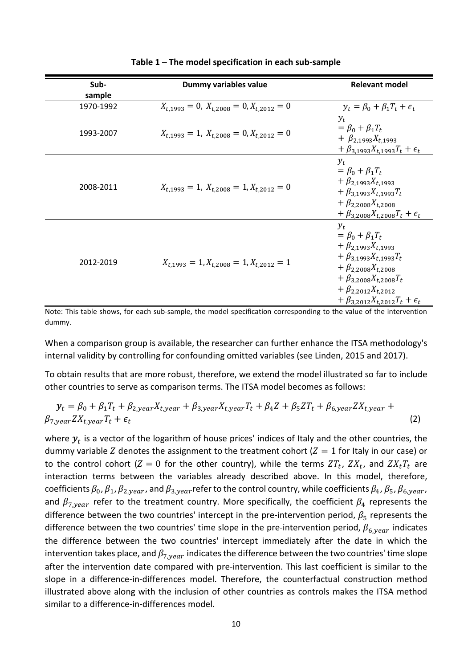| Sub-      | Dummy variables value                                  | <b>Relevant model</b>                                                                                                                                                                                                                                          |  |  |
|-----------|--------------------------------------------------------|----------------------------------------------------------------------------------------------------------------------------------------------------------------------------------------------------------------------------------------------------------------|--|--|
| sample    |                                                        |                                                                                                                                                                                                                                                                |  |  |
| 1970-1992 | $X_{t,1993} = 0$ , $X_{t,2008} = 0$ , $X_{t,2012} = 0$ | $y_t = \beta_0 + \beta_1 T_t + \epsilon_t$                                                                                                                                                                                                                     |  |  |
| 1993-2007 | $X_{t,1993} = 1, X_{t,2008} = 0, X_{t,2012} = 0$       | $y_t$<br>$= \beta_0 + \beta_1 T_t$<br>+ $\beta_{2.1993} X_{t.1993}$<br>+ $\beta_{3.1993}X_{t,1993}T_t + \epsilon_t$                                                                                                                                            |  |  |
| 2008-2011 | $X_{t,1993} = 1, X_{t,2008} = 1, X_{t,2012} = 0$       | $y_t$<br>$= \beta_0 + \beta_1 T_t$<br>+ $\beta_{2.1993}X_{t.1993}$<br>+ $\beta_{3.1993}X_{t.1993}T_t$<br>$+ \beta_{2.2008} X_{t.2008}$<br>+ $\beta_{3.2008} X_{t.2008} T_t + \epsilon_t$                                                                       |  |  |
| 2012-2019 | $X_{t,1993} = 1, X_{t,2008} = 1, X_{t,2012} = 1$       | $v_{t}$<br>$= \beta_0 + \beta_1 T_t$<br>+ $\beta_{2.1993}X_{t.1993}$<br>+ $\beta_{3.1993}X_{t.1993}T_t$<br>+ $\beta_{2,2008} X_{t,2008}$<br>$+ \beta_{3.2008} X_{t.2008} T_t$<br>+ $\beta_{2,2012} X_{t,2012}$<br>+ $\beta_{3,2012}X_{t,2012}T_t + \epsilon_t$ |  |  |

#### **Table 1 ─ The model specification in each sub-sample**

Note: This table shows, for each sub-sample, the model specification corresponding to the value of the intervention dummy.

When a comparison group is available, the researcher can further enhance the ITSA methodology's internal validity by controlling for confounding omitted variables (see Linden, 2015 and 2017).

To obtain results that are more robust, therefore, we extend the model illustrated so far to include other countries to serve as comparison terms. The ITSA model becomes as follows:

$$
\mathbf{y}_t = \beta_0 + \beta_1 T_t + \beta_{2,year} X_{t,year} + \beta_{3,year} X_{t,year} T_t + \beta_4 Z + \beta_5 Z T_t + \beta_{6,year} Z X_{t,year} + \beta_{7,year} Z X_{t,year} T_t + \epsilon_t
$$
\n(2)

where  $y_t$  is a vector of the logarithm of house prices' indices of Italy and the other countries, the dummy variable Z denotes the assignment to the treatment cohort ( $Z = 1$  for Italy in our case) or to the control cohort ( $Z=0$  for the other country), while the terms  ${ZT_t,\ ZX_t}$ , and  ${ZX_tT_t}$  are interaction terms between the variables already described above. In this model, therefore, coefficients  $\beta_0$ ,  $\beta_1$ ,  $\beta_{2,year}$ , and  $\beta_{3,year}$  refer to the control country, while coefficients  $\beta_4$ ,  $\beta_5$ ,  $\beta_{6,year}$ , and  $\beta_{7, year}$  refer to the treatment country. More specifically, the coefficient  $\beta_4$  represents the difference between the two countries' intercept in the pre-intervention period,  $\beta_5$  represents the difference between the two countries' time slope in the pre-intervention period,  $\beta_{6, year}$  indicates the difference between the two countries' intercept immediately after the date in which the intervention takes place, and  $\beta_{7, year}$  indicates the difference between the two countries' time slope after the intervention date compared with pre-intervention. This last coefficient is similar to the slope in a difference-in-differences model. Therefore, the counterfactual construction method illustrated above along with the inclusion of other countries as controls makes the ITSA method similar to a difference-in-differences model.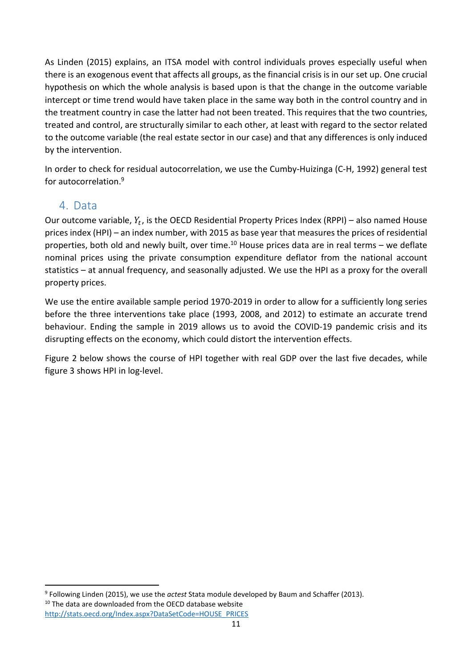As Linden (2015) explains, an ITSA model with control individuals proves especially useful when there is an exogenous event that affects all groups, as the financial crisis is in our set up. One crucial hypothesis on which the whole analysis is based upon is that the change in the outcome variable intercept or time trend would have taken place in the same way both in the control country and in the treatment country in case the latter had not been treated. This requires that the two countries, treated and control, are structurally similar to each other, at least with regard to the sector related to the outcome variable (the real estate sector in our case) and that any differences is only induced by the intervention.

In order to check for residual autocorrelation, we use the Cumby-Huizinga (C-H, 1992) general test for autocorrelation.<sup>9</sup>

## 4. Data

 $\overline{\phantom{0}}$ 

Our outcome variable,  $Y_t$ , is the OECD Residential Property Prices Index (RPPI) – also named House prices index (HPI) – an index number, with 2015 as base year that measures the prices of residential properties, both old and newly built, over time.<sup>10</sup> House prices data are in real terms – we deflate nominal prices using the private consumption expenditure deflator from the national account statistics – at annual frequency, and seasonally adjusted. We use the HPI as a proxy for the overall property prices.

We use the entire available sample period 1970-2019 in order to allow for a sufficiently long series before the three interventions take place (1993, 2008, and 2012) to estimate an accurate trend behaviour. Ending the sample in 2019 allows us to avoid the COVID-19 pandemic crisis and its disrupting effects on the economy, which could distort the intervention effects.

Figure 2 below shows the course of HPI together with real GDP over the last five decades, while figure 3 shows HPI in log-level.

<sup>9</sup> Following Linden (2015), we use the *actest* Stata module developed by Baum and Schaffer (2013). <sup>10</sup> The data are downloaded from the OECD database website http://stats.oecd.org/Index.aspx?DataSetCode=HOUSE\_PRICES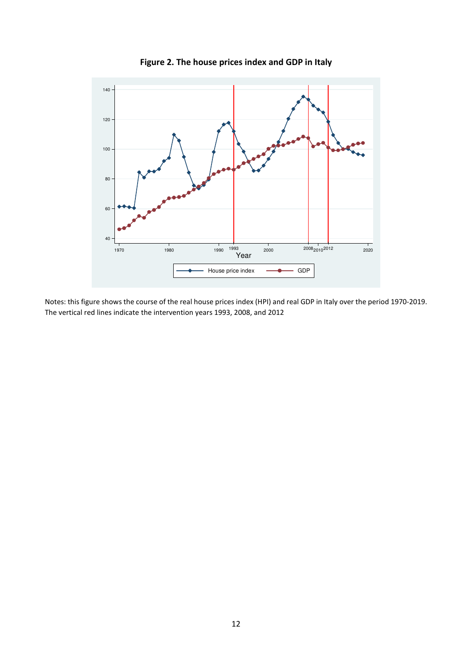

**Figure 2. The house prices index and GDP in Italy**

Notes: this figure shows the course of the real house prices index (HPI) and real GDP in Italy over the period 1970-2019. The vertical red lines indicate the intervention years 1993, 2008, and 2012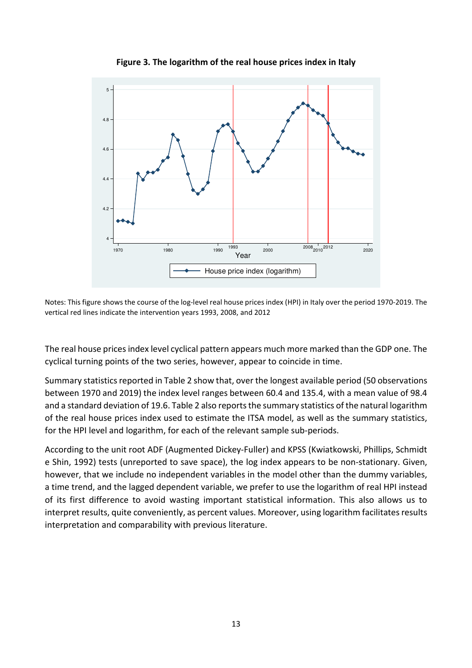

**Figure 3. The logarithm of the real house prices index in Italy** 

Notes: This figure shows the course of the log-level real house prices index (HPI) in Italy over the period 1970-2019. The vertical red lines indicate the intervention years 1993, 2008, and 2012

The real house prices index level cyclical pattern appears much more marked than the GDP one. The cyclical turning points of the two series, however, appear to coincide in time.

Summary statistics reported in Table 2 show that, over the longest available period (50 observations between 1970 and 2019) the index level ranges between 60.4 and 135.4, with a mean value of 98.4 and a standard deviation of 19.6. Table 2 also reports the summary statistics of the natural logarithm of the real house prices index used to estimate the ITSA model, as well as the summary statistics, for the HPI level and logarithm, for each of the relevant sample sub-periods.

According to the unit root ADF (Augmented Dickey-Fuller) and KPSS (Kwiatkowski, Phillips, Schmidt e Shin, 1992) tests (unreported to save space), the log index appears to be non-stationary. Given, however, that we include no independent variables in the model other than the dummy variables, a time trend, and the lagged dependent variable, we prefer to use the logarithm of real HPI instead of its first difference to avoid wasting important statistical information. This also allows us to interpret results, quite conveniently, as percent values. Moreover, using logarithm facilitates results interpretation and comparability with previous literature.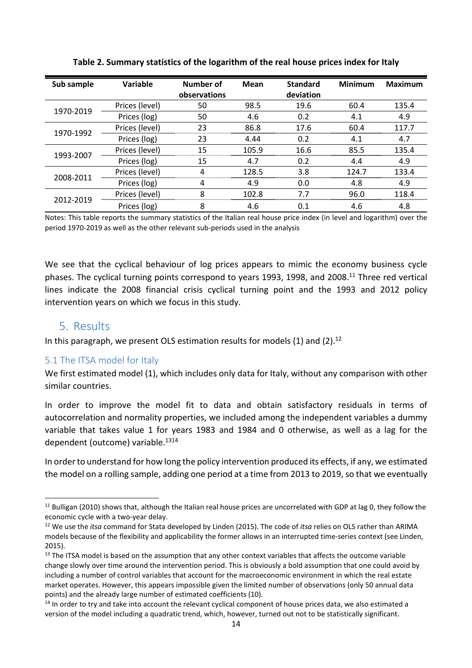| Sub sample | Variable       | Number of    | <b>Mean</b> | <b>Standard</b> | <b>Minimum</b> | <b>Maximum</b> |
|------------|----------------|--------------|-------------|-----------------|----------------|----------------|
|            |                | observations |             | deviation       |                |                |
| 1970-2019  | Prices (level) | 50           | 98.5        | 19.6            | 60.4           | 135.4          |
|            | Prices (log)   | 50           | 4.6         | 0.2             | 4.1            | 4.9            |
| 1970-1992  | Prices (level) | 23           | 86.8        | 17.6            | 60.4           | 117.7          |
|            | Prices (log)   | 23           | 4.44        | 0.2             | 4.1            | 4.7            |
| 1993-2007  | Prices (level) | 15           | 105.9       | 16.6            | 85.5           | 135.4          |
|            | Prices (log)   | 15           | 4.7         | 0.2             | 4.4            | 4.9            |
| 2008-2011  | Prices (level) |              | 128.5       | 3.8             | 124.7          | 133.4          |
|            | Prices (log)   | 4            | 4.9         | 0.0             | 4.8            | 4.9            |
| 2012-2019  | Prices (level) | я            | 102.8       | 77              | 96.0           | 118.4          |
|            | Prices (log)   | 8            | 4.6         | 0.1             | 4.6            | 4.8            |

**Table 2. Summary statistics of the logarithm of the real house prices index for Italy** 

Notes: This table reports the summary statistics of the Italian real house price index (in level and logarithm) over the period 1970-2019 as well as the other relevant sub-periods used in the analysis

We see that the cyclical behaviour of log prices appears to mimic the economy business cycle phases. The cyclical turning points correspond to years 1993, 1998, and 2008.<sup>11</sup> Three red vertical lines indicate the 2008 financial crisis cyclical turning point and the 1993 and 2012 policy intervention years on which we focus in this study.

## 5. Results

 $\overline{a}$ 

In this paragraph, we present OLS estimation results for models  $(1)$  and  $(2)$ .<sup>12</sup>

### 5.1 The ITSA model for Italy

We first estimated model (1), which includes only data for Italy, without any comparison with other similar countries.

In order to improve the model fit to data and obtain satisfactory residuals in terms of autocorrelation and normality properties, we included among the independent variables a dummy variable that takes value 1 for years 1983 and 1984 and 0 otherwise, as well as a lag for the dependent (outcome) variable.<sup>1314</sup>

In order to understand for how long the policy intervention produced its effects, if any, we estimated the model on a rolling sample, adding one period at a time from 2013 to 2019, so that we eventually

<sup>&</sup>lt;sup>11</sup> Bulligan (2010) shows that, although the Italian real house prices are uncorrelated with GDP at lag 0, they follow the economic cycle with a two-year delay.

<sup>12</sup> We use the *itsa* command for Stata developed by Linden (2015). The code of *itsa* relies on OLS rather than ARIMA models because of the flexibility and applicability the former allows in an interrupted time-series context (see Linden, 2015).

<sup>&</sup>lt;sup>13</sup> The ITSA model is based on the assumption that any other context variables that affects the outcome variable change slowly over time around the intervention period. This is obviously a bold assumption that one could avoid by including a number of control variables that account for the macroeconomic environment in which the real estate market operates. However, this appears impossible given the limited number of observations (only 50 annual data points) and the already large number of estimated coefficients (10).

<sup>&</sup>lt;sup>14</sup> In order to try and take into account the relevant cyclical component of house prices data, we also estimated a version of the model including a quadratic trend, which, however, turned out not to be statistically significant.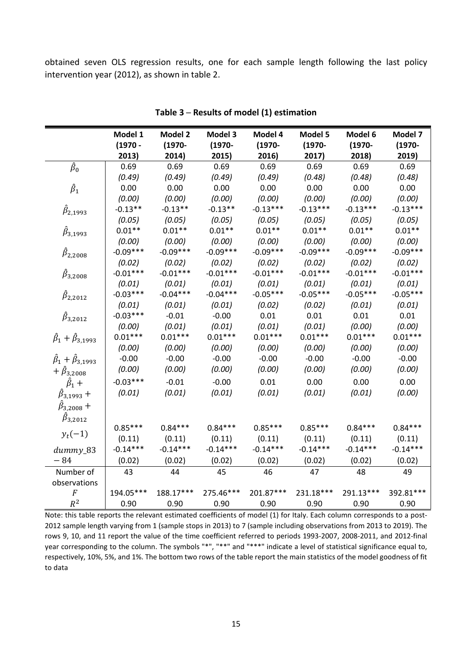obtained seven OLS regression results, one for each sample length following the last policy intervention year (2012), as shown in table 2.

|                                        | Model 1    | <b>Model 2</b> | Model 3    | Model 4    | Model 5    | Model 6    | Model 7    |
|----------------------------------------|------------|----------------|------------|------------|------------|------------|------------|
|                                        | $(1970 -$  | $(1970 -$      | $(1970 -$  | $(1970 -$  | $(1970 -$  | $(1970 -$  | $(1970 -$  |
|                                        | 2013)      | 2014)          | 2015)      | 2016)      | 2017)      | 2018)      | 2019)      |
| $\hat{\beta}_0$                        | 0.69       | 0.69           | 0.69       | 0.69       | 0.69       | 0.69       | 0.69       |
|                                        | (0.49)     | (0.49)         | (0.49)     | (0.49)     | (0.48)     | (0.48)     | (0.48)     |
| $\hat{\beta}_1$                        | 0.00       | 0.00           | 0.00       | 0.00       | 0.00       | 0.00       | 0.00       |
|                                        | (0.00)     | (0.00)         | (0.00)     | (0.00)     | (0.00)     | (0.00)     | (0.00)     |
| $\beta_{2,1993}$                       | $-0.13**$  | $-0.13**$      | $-0.13**$  | $-0.13***$ | $-0.13***$ | $-0.13***$ | $-0.13***$ |
|                                        | (0.05)     | (0.05)         | (0.05)     | (0.05)     | (0.05)     | (0.05)     | (0.05)     |
| $\beta_{3,1993}$                       | $0.01**$   | $0.01**$       | $0.01**$   | $0.01**$   | $0.01**$   | $0.01**$   | $0.01**$   |
|                                        | (0.00)     | (0.00)         | (0.00)     | (0.00)     | (0.00)     | (0.00)     | (0.00)     |
| $\beta_{2,2008}$                       | $-0.09***$ | $-0.09***$     | $-0.09***$ | $-0.09***$ | $-0.09***$ | $-0.09***$ | $-0.09***$ |
|                                        | (0.02)     | (0.02)         | (0.02)     | (0.02)     | (0.02)     | (0.02)     | (0.02)     |
| $\beta_{3,2008}$                       | $-0.01***$ | $-0.01***$     | $-0.01***$ | $-0.01***$ | $-0.01***$ | $-0.01***$ | $-0.01***$ |
|                                        | (0.01)     | (0.01)         | (0.01)     | (0.01)     | (0.01)     | (0.01)     | (0.01)     |
| $\beta_{2,2012}$                       | $-0.03***$ | $-0.04***$     | $-0.04***$ | $-0.05***$ | $-0.05***$ | $-0.05***$ | $-0.05***$ |
|                                        | (0.01)     | (0.01)         | (0.01)     | (0.02)     | (0.02)     | (0.01)     | (0.01)     |
| $\hat{\beta}_{3,2012}$                 | $-0.03***$ | $-0.01$        | $-0.00$    | 0.01       | 0.01       | 0.01       | 0.01       |
|                                        | (0.00)     | (0.01)         | (0.01)     | (0.01)     | (0.01)     | (0.00)     | (0.00)     |
| $\hat{\beta}_1 + \hat{\beta}_{3.1993}$ | $0.01***$  | $0.01***$      | $0.01***$  | $0.01***$  | $0.01***$  | $0.01***$  | $0.01***$  |
|                                        | (0.00)     | (0.00)         | (0.00)     | (0.00)     | (0.00)     | (0.00)     | (0.00)     |
| $\hat{\beta}_1 + \hat{\beta}_{3,1993}$ | $-0.00$    | $-0.00$        | $-0.00$    | $-0.00$    | $-0.00$    | $-0.00$    | $-0.00$    |
| + $\hat{\beta}_{3,2008}$               | (0.00)     | (0.00)         | (0.00)     | (0.00)     | (0.00)     | (0.00)     | (0.00)     |
| $\hat{\beta}_1$ +                      | $-0.03***$ | $-0.01$        | $-0.00$    | 0.01       | 0.00       | 0.00       | 0.00       |
| $\beta_{3,1993} +$                     | (0.01)     | (0.01)         | (0.01)     | (0.01)     | (0.01)     | (0.01)     | (0.00)     |
| $\beta_{3,2008} +$                     |            |                |            |            |            |            |            |
| $\hat{\beta}_{3,2012}$                 |            |                |            |            |            |            |            |
|                                        | $0.85***$  | $0.84***$      | $0.84***$  | $0.85***$  | $0.85***$  | $0.84***$  | $0.84***$  |
| $y_t(-1)$                              | (0.11)     | (0.11)         | (0.11)     | (0.11)     | (0.11)     | (0.11)     | (0.11)     |
| dummy_83                               | $-0.14***$ | $-0.14***$     | $-0.14***$ | $-0.14***$ | $-0.14***$ | $-0.14***$ | $-0.14***$ |
| $-84$                                  | (0.02)     | (0.02)         | (0.02)     | (0.02)     | (0.02)     | (0.02)     | (0.02)     |
| Number of                              | 43         | 44             | 45         | 46         | 47         | 48         | 49         |
| observations                           |            |                |            |            |            |            |            |
| $\cal F$                               | 194.05***  | 188.17***      | 275.46***  | 201.87***  | 231.18***  | 291.13***  | 392.81***  |
| $R^2$                                  | 0.90       | 0.90           | 0.90       | 0.90       | 0.90       | 0.90       | 0.90       |

**Table 3 ─ Results of model (1) estimation** 

Note: this table reports the relevant estimated coefficients of model (1) for Italy. Each column corresponds to a post-2012 sample length varying from 1 (sample stops in 2013) to 7 (sample including observations from 2013 to 2019). The rows 9, 10, and 11 report the value of the time coefficient referred to periods 1993-2007, 2008-2011, and 2012-final year corresponding to the column. The symbols "\*", "\*\*" and "\*\*\*" indicate a level of statistical significance equal to, respectively, 10%, 5%, and 1%. The bottom two rows of the table report the main statistics of the model goodness of fit to data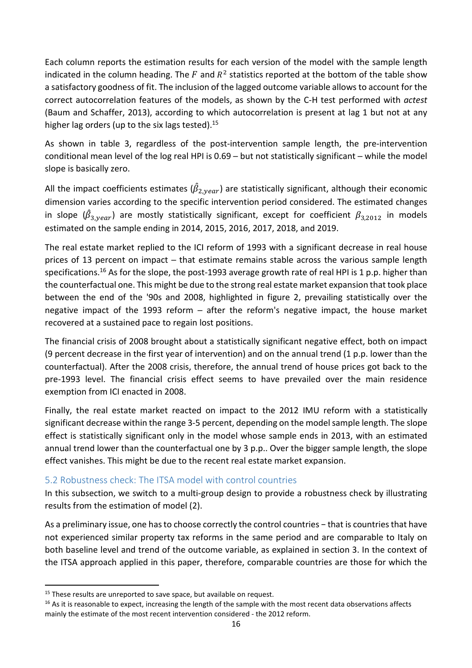Each column reports the estimation results for each version of the model with the sample length indicated in the column heading. The  $F$  and  $R^2$  statistics reported at the bottom of the table show a satisfactory goodness of fit. The inclusion of the lagged outcome variable allows to account for the correct autocorrelation features of the models, as shown by the C-H test performed with *actest* (Baum and Schaffer, 2013), according to which autocorrelation is present at lag 1 but not at any higher lag orders (up to the six lags tested).  $15$ 

As shown in table 3, regardless of the post-intervention sample length, the pre-intervention conditional mean level of the log real HPI is 0.69 – but not statistically significant – while the model slope is basically zero.

All the impact coefficients estimates ( $\hat{\beta}_{2,year}$ ) are statistically significant, although their economic dimension varies according to the specific intervention period considered. The estimated changes in slope ( $\hat{\beta}_{3,year}$ ) are mostly statistically significant, except for coefficient  $\beta_{3,2012}$  in models estimated on the sample ending in 2014, 2015, 2016, 2017, 2018, and 2019.

The real estate market replied to the ICI reform of 1993 with a significant decrease in real house prices of 13 percent on impact - that estimate remains stable across the various sample length specifications.<sup>16</sup> As for the slope, the post-1993 average growth rate of real HPI is 1 p.p. higher than the counterfactual one. This might be due to the strong real estate market expansion that took place between the end of the '90s and 2008, highlighted in figure 2, prevailing statistically over the negative impact of the 1993 reform – after the reform's negative impact, the house market recovered at a sustained pace to regain lost positions.

The financial crisis of 2008 brought about a statistically significant negative effect, both on impact (9 percent decrease in the first year of intervention) and on the annual trend (1 p.p. lower than the counterfactual). After the 2008 crisis, therefore, the annual trend of house prices got back to the pre-1993 level. The financial crisis effect seems to have prevailed over the main residence exemption from ICI enacted in 2008.

Finally, the real estate market reacted on impact to the 2012 IMU reform with a statistically significant decrease within the range 3-5 percent, depending on the model sample length. The slope effect is statistically significant only in the model whose sample ends in 2013, with an estimated annual trend lower than the counterfactual one by 3 p.p.. Over the bigger sample length, the slope effect vanishes. This might be due to the recent real estate market expansion.

## 5.2 Robustness check: The ITSA model with control countries

In this subsection, we switch to a multi-group design to provide a robustness check by illustrating results from the estimation of model (2).

As a preliminary issue, one has to choose correctly the control countries − that is countries that have not experienced similar property tax reforms in the same period and are comparable to Italy on both baseline level and trend of the outcome variable, as explained in section 3. In the context of the ITSA approach applied in this paper, therefore, comparable countries are those for which the

 $\overline{\phantom{0}}$ 

 $15$  These results are unreported to save space, but available on request.

<sup>&</sup>lt;sup>16</sup> As it is reasonable to expect, increasing the length of the sample with the most recent data observations affects mainly the estimate of the most recent intervention considered - the 2012 reform.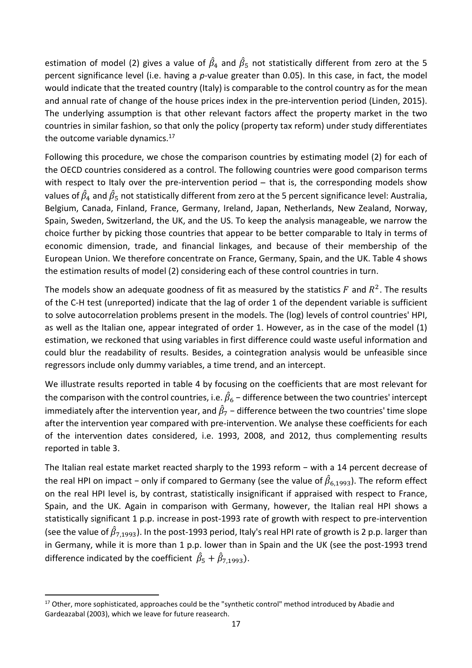estimation of model (2) gives a value of  $\hat\beta_4$  and  $\hat\beta_5$  not statistically different from zero at the 5 percent significance level (i.e. having a *p-*value greater than 0.05). In this case, in fact, the model would indicate that the treated country (Italy) is comparable to the control country as for the mean and annual rate of change of the house prices index in the pre-intervention period (Linden, 2015). The underlying assumption is that other relevant factors affect the property market in the two countries in similar fashion, so that only the policy (property tax reform) under study differentiates the outcome variable dynamics. $17$ 

Following this procedure, we chose the comparison countries by estimating model (2) for each of the OECD countries considered as a control. The following countries were good comparison terms with respect to Italy over the pre-intervention period – that is, the corresponding models show values of  $\hat\beta_4$  and  $\hat\beta_5$  not statistically different from zero at the 5 percent significance level: Australia, Belgium, Canada, Finland, France, Germany, Ireland, Japan, Netherlands, New Zealand, Norway, Spain, Sweden, Switzerland, the UK, and the US. To keep the analysis manageable, we narrow the choice further by picking those countries that appear to be better comparable to Italy in terms of economic dimension, trade, and financial linkages, and because of their membership of the European Union. We therefore concentrate on France, Germany, Spain, and the UK. Table 4 shows the estimation results of model (2) considering each of these control countries in turn.

The models show an adequate goodness of fit as measured by the statistics  $F$  and  $R^2$ . The results of the C-H test (unreported) indicate that the lag of order 1 of the dependent variable is sufficient to solve autocorrelation problems present in the models. The (log) levels of control countries' HPI, as well as the Italian one, appear integrated of order 1. However, as in the case of the model (1) estimation, we reckoned that using variables in first difference could waste useful information and could blur the readability of results. Besides, a cointegration analysis would be unfeasible since regressors include only dummy variables, a time trend, and an intercept.

We illustrate results reported in table 4 by focusing on the coefficients that are most relevant for the comparison with the control countries, i.e.  $\hat{\beta}_6$  – difference between the two countries' intercept immediately after the intervention year, and  $\hat{\beta}_{7}$  – difference between the two countries' time slope after the intervention year compared with pre-intervention. We analyse these coefficients for each of the intervention dates considered, i.e. 1993, 2008, and 2012, thus complementing results reported in table 3.

The Italian real estate market reacted sharply to the 1993 reform – with a 14 percent decrease of the real HPI on impact – only if compared to Germany (see the value of  $\hat\beta_{6,1993}$ ). The reform effect on the real HPI level is, by contrast, statistically insignificant if appraised with respect to France, Spain, and the UK. Again in comparison with Germany, however, the Italian real HPI shows a statistically significant 1 p.p. increase in post-1993 rate of growth with respect to pre-intervention (see the value of  $\hat\beta_{7,1993}$ ). In the post-1993 period, Italy's real HPI rate of growth is 2 p.p. larger than in Germany, while it is more than 1 p.p. lower than in Spain and the UK (see the post-1993 trend difference indicated by the coefficient  $\hat{\beta}_5 + \hat{\beta}_{7,1993}$ ).

l

<sup>&</sup>lt;sup>17</sup> Other, more sophisticated, approaches could be the "synthetic control" method introduced by Abadie and Gardeazabal (2003), which we leave for future reasearch.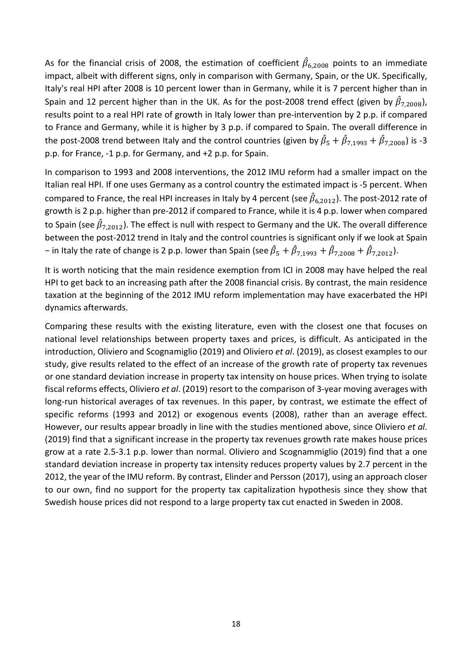As for the financial crisis of 2008, the estimation of coefficient  $\hat\beta_{6,2008}$  points to an immediate impact, albeit with different signs, only in comparison with Germany, Spain, or the UK. Specifically, Italy's real HPI after 2008 is 10 percent lower than in Germany, while it is 7 percent higher than in Spain and 12 percent higher than in the UK. As for the post-2008 trend effect (given by  $\hat{\beta}_{7,2008}$ ), results point to a real HPI rate of growth in Italy lower than pre-intervention by 2 p.p. if compared to France and Germany, while it is higher by 3 p.p. if compared to Spain. The overall difference in the post-2008 trend between Italy and the control countries (given by  $\hat\beta_5+\hat\beta_{7,1993}+\hat\beta_{7,2008}$ ) is -3 p.p. for France, -1 p.p. for Germany, and +2 p.p. for Spain.

In comparison to 1993 and 2008 interventions, the 2012 IMU reform had a smaller impact on the Italian real HPI. If one uses Germany as a control country the estimated impact is -5 percent. When compared to France, the real HPI increases in Italy by 4 percent (see  $\hat\beta_{6,2012}$ ). The post-2012 rate of growth is 2 p.p. higher than pre-2012 if compared to France, while it is 4 p.p. lower when compared to Spain (see  $\hat\beta_{7,2012}$ ). The effect is null with respect to Germany and the UK. The overall difference between the post-2012 trend in Italy and the control countries is significant only if we look at Spain – in Italy the rate of change is 2 p.p. lower than Spain (see  $\hat{\beta}_5 + \hat{\beta}_{7,1993} + \hat{\beta}_{7,2008} + \hat{\beta}_{7,2012}$ ).

It is worth noticing that the main residence exemption from ICI in 2008 may have helped the real HPI to get back to an increasing path after the 2008 financial crisis. By contrast, the main residence taxation at the beginning of the 2012 IMU reform implementation may have exacerbated the HPI dynamics afterwards.

Comparing these results with the existing literature, even with the closest one that focuses on national level relationships between property taxes and prices, is difficult. As anticipated in the introduction, Oliviero and Scognamiglio (2019) and Oliviero *et al*. (2019), as closest examples to our study, give results related to the effect of an increase of the growth rate of property tax revenues or one standard deviation increase in property tax intensity on house prices. When trying to isolate fiscal reforms effects, Oliviero *et al*. (2019) resort to the comparison of 3-year moving averages with long-run historical averages of tax revenues. In this paper, by contrast, we estimate the effect of specific reforms (1993 and 2012) or exogenous events (2008), rather than an average effect. However, our results appear broadly in line with the studies mentioned above, since Oliviero *et al*. (2019) find that a significant increase in the property tax revenues growth rate makes house prices grow at a rate 2.5-3.1 p.p. lower than normal. Oliviero and Scognammiglio (2019) find that a one standard deviation increase in property tax intensity reduces property values by 2.7 percent in the 2012, the year of the IMU reform. By contrast, Elinder and Persson (2017), using an approach closer to our own, find no support for the property tax capitalization hypothesis since they show that Swedish house prices did not respond to a large property tax cut enacted in Sweden in 2008.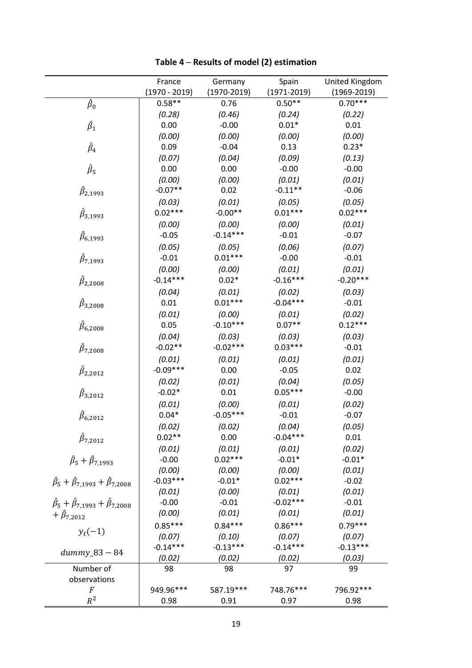|                                                               | France          | Germany         | Spain           | United Kingdom      |
|---------------------------------------------------------------|-----------------|-----------------|-----------------|---------------------|
|                                                               | $(1970 - 2019)$ | $(1970 - 2019)$ | $(1971 - 2019)$ | $(1969 - 2019)$     |
| $\hat{\beta}_0$                                               | $0.58**$        | 0.76            | $0.50**$        | $0.70***$           |
|                                                               | (0.28)          | (0.46)          | (0.24)          | (0.22)              |
| $\hat{\beta}_1$                                               | 0.00            | $-0.00$         | $0.01*$         | 0.01                |
|                                                               | (0.00)          | (0.00)          | (0.00)          | (0.00)              |
| $\hat{\beta}_4$                                               | 0.09            | $-0.04$         | 0.13            | $0.23*$             |
|                                                               | (0.07)          | (0.04)          | (0.09)          | (0.13)              |
| $\hat{\beta}_5$                                               | 0.00            | 0.00            | $-0.00$         | $-0.00$             |
|                                                               | (0.00)          | (0.00)          | (0.01)          | (0.01)              |
| $\beta_{2,1993}$                                              | $-0.07**$       | 0.02            | $-0.11**$       | $-0.06$             |
|                                                               | (0.03)          | (0.01)          | (0.05)          | (0.05)              |
| $\hat{\beta}_{3,1993}$                                        | $0.02***$       | $-0.00**$       | $0.01***$       | $0.02***$           |
|                                                               | (0.00)          | (0.00)          | (0.00)          | (0.01)              |
| $\beta_{6,1993}$                                              | $-0.05$         | $-0.14***$      | $-0.01$         | $-0.07$             |
|                                                               | (0.05)          | (0.05)          | (0.06)          | (0.07)              |
|                                                               | $-0.01$         | $0.01***$       | $-0.00$         | $-0.01$             |
| $\beta_{7,1993}$                                              | (0.00)          | (0.00)          | (0.01)          | (0.01)              |
|                                                               | $-0.14***$      | $0.02*$         | $-0.16***$      | $-0.20***$          |
| $\beta_{2,2008}$                                              | (0.04)          | (0.01)          | (0.02)          | (0.03)              |
|                                                               | 0.01            | $0.01***$       | $-0.04***$      | $-0.01$             |
| $\beta_{3,2008}$                                              |                 |                 |                 |                     |
|                                                               | (0.01)          | (0.00)          | (0.01)          | (0.02)<br>$0.12***$ |
| $\beta_{6,2008}$                                              | 0.05            | $-0.10***$      | $0.07**$        |                     |
|                                                               | (0.04)          | (0.03)          | (0.03)          | (0.03)              |
| $\beta_{7,2008}$                                              | $-0.02**$       | $-0.02***$      | $0.03***$       | $-0.01$             |
|                                                               | (0.01)          | (0.01)          | (0.01)          | (0.01)              |
| $\beta_{2,2012}$                                              | $-0.09***$      | 0.00            | $-0.05$         | 0.02                |
|                                                               | (0.02)          | (0.01)          | (0.04)          | (0.05)              |
| $\beta_{3,2012}$                                              | $-0.02*$        | 0.01            | $0.05***$       | $-0.00$             |
|                                                               | (0.01)          | (0.00)          | (0.01)          | (0.02)              |
| $\beta_{6,2012}$                                              | $0.04*$         | $-0.05***$      | $-0.01$         | $-0.07$             |
|                                                               | (0.02)          | (0.02)          | (0.04)          | (0.05)              |
| $\beta_{7,2012}$                                              | $0.02**$        | 0.00            | $-0.04***$      | 0.01                |
|                                                               | (0.01)          | (0.01)          | (0.01)          | (0.02)              |
| $\hat{\beta}_5 + \hat{\beta}_{7,1993}$                        | $-0.00$         | $0.02***$       | $-0.01*$        | $-0.01*$            |
|                                                               | (0.00)          | (0.00)          | (0.00)          | (0.01)              |
| $\hat{\beta}_5 + \hat{\beta}_{7,1993} + \hat{\beta}_{7,2008}$ | $-0.03***$      | $-0.01*$        | $0.02***$       | $-0.02$             |
|                                                               | (0.01)          | (0.00)          | (0.01)          | (0.01)              |
| $\hat{\beta}_5 + \hat{\beta}_{7,1993} + \hat{\beta}_{7,2008}$ | $-0.00$         | $-0.01$         | $-0.02***$      | $-0.01$             |
| + $\hat{\beta}_{7,2012}$                                      | (0.00)          | (0.01)          | (0.01)          | (0.01)              |
|                                                               | $0.85***$       | $0.84***$       | $0.86***$       | $0.79***$           |
| $y_t(-1)$                                                     | (0.07)          | (0.10)          | (0.07)          | (0.07)              |
|                                                               | $-0.14***$      | $-0.13***$      | $-0.14***$      | $-0.13***$          |
| $dummy_83-84$                                                 | (0.02)          | (0.02)          | (0.02)          | (0.03)              |
| Number of                                                     | 98              | 98              | 97              | 99                  |
| observations                                                  |                 |                 |                 |                     |
| $\overline{F}$                                                | 949.96***       | 587.19 ***      | 748.76***       | 796.92***           |
| $R^2$                                                         | 0.98            | 0.91            | 0.97            | 0.98                |

**Table 4 ─ Results of model (2) estimation**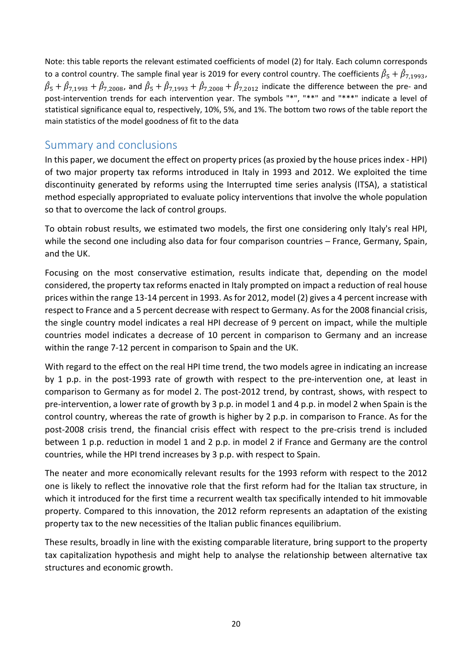Note: this table reports the relevant estimated coefficients of model (2) for Italy. Each column corresponds to a control country. The sample final year is 2019 for every control country. The coefficients  $\hat\beta_5+\hat\beta_{7,1993}$ ,  $\hat\beta_5+\hat\beta_{7,1993}+\hat\beta_{7,2008}$ , and  $\hat\beta_5+\hat\beta_{7,1993}+\hat\beta_{7,2008}+\hat\beta_{7,2012}$  indicate the difference between the pre- and post-intervention trends for each intervention year. The symbols "\*", "\*\*" and "\*\*\*" indicate a level of statistical significance equal to, respectively, 10%, 5%, and 1%. The bottom two rows of the table report the main statistics of the model goodness of fit to the data

## Summary and conclusions

In this paper, we document the effect on property prices (as proxied by the house prices index - HPI) of two major property tax reforms introduced in Italy in 1993 and 2012. We exploited the time discontinuity generated by reforms using the Interrupted time series analysis (ITSA), a statistical method especially appropriated to evaluate policy interventions that involve the whole population so that to overcome the lack of control groups.

To obtain robust results, we estimated two models, the first one considering only Italy's real HPI, while the second one including also data for four comparison countries - France, Germany, Spain, and the UK.

Focusing on the most conservative estimation, results indicate that, depending on the model considered, the property tax reforms enacted in Italy prompted on impact a reduction of real house prices within the range 13-14 percent in 1993. As for 2012, model (2) gives a 4 percent increase with respect to France and a 5 percent decrease with respect to Germany. As for the 2008 financial crisis, the single country model indicates a real HPI decrease of 9 percent on impact, while the multiple countries model indicates a decrease of 10 percent in comparison to Germany and an increase within the range 7-12 percent in comparison to Spain and the UK.

With regard to the effect on the real HPI time trend, the two models agree in indicating an increase by 1 p.p. in the post-1993 rate of growth with respect to the pre-intervention one, at least in comparison to Germany as for model 2. The post-2012 trend, by contrast, shows, with respect to pre-intervention, a lower rate of growth by 3 p.p. in model 1 and 4 p.p. in model 2 when Spain is the control country, whereas the rate of growth is higher by 2 p.p. in comparison to France. As for the post-2008 crisis trend, the financial crisis effect with respect to the pre-crisis trend is included between 1 p.p. reduction in model 1 and 2 p.p. in model 2 if France and Germany are the control countries, while the HPI trend increases by 3 p.p. with respect to Spain.

The neater and more economically relevant results for the 1993 reform with respect to the 2012 one is likely to reflect the innovative role that the first reform had for the Italian tax structure, in which it introduced for the first time a recurrent wealth tax specifically intended to hit immovable property. Compared to this innovation, the 2012 reform represents an adaptation of the existing property tax to the new necessities of the Italian public finances equilibrium.

These results, broadly in line with the existing comparable literature, bring support to the property tax capitalization hypothesis and might help to analyse the relationship between alternative tax structures and economic growth.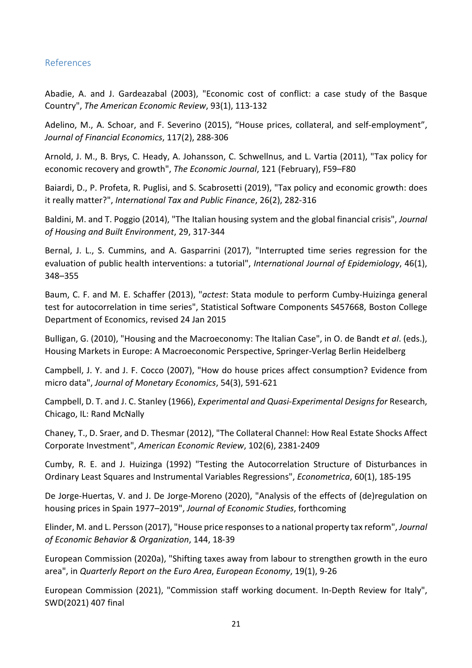#### References

Abadie, A. and J. Gardeazabal (2003), "Economic cost of conflict: a case study of the Basque Country", *The American Economic Review*, 93(1), 113-132

Adelino, M., A. Schoar, and F. Severino (2015), "House prices, collateral, and self-employment", *Journal of Financial Economics*, 117(2), 288-306

Arnold, J. M., B. Brys, C. Heady, A. Johansson, C. Schwellnus, and L. Vartia (2011), "Tax policy for economic recovery and growth", *The Economic Journal*, 121 (February), F59–F80

Baiardi, D., P. Profeta, R. Puglisi, and S. Scabrosetti (2019), "Tax policy and economic growth: does it really matter?", *International Tax and Public Finance*, 26(2), 282-316

Baldini, M. and T. Poggio (2014), "The Italian housing system and the global financial crisis", *Journal of Housing and Built Environment*, 29, 317-344

Bernal, J. L., S. Cummins, and A. Gasparrini (2017), "Interrupted time series regression for the evaluation of public health interventions: a tutorial", *International Journal of Epidemiology*, 46(1), 348–355

Baum, C. F. and M. E. Schaffer (2013), "*actest*: Stata module to perform Cumby-Huizinga general test for autocorrelation in time series", Statistical Software Components S457668, Boston College Department of Economics, revised 24 Jan 2015

Bulligan, G. (2010), "Housing and the Macroeconomy: The Italian Case", in O. de Bandt *et al*. (eds.), Housing Markets in Europe: A Macroeconomic Perspective, Springer-Verlag Berlin Heidelberg

Campbell, J. Y. and J. F. Cocco (2007), "How do house prices affect consumption? Evidence from micro data", *Journal of Monetary Economics*, 54(3), 591-621

Campbell, D. T. and J. C. Stanley (1966), *Experimental and Quasi-Experimental Designs for* Research, Chicago, IL: Rand McNally

Chaney, T., D. Sraer, and D. Thesmar (2012), "The Collateral Channel: How Real Estate Shocks Affect Corporate Investment", *American Economic Review*, 102(6), 2381-2409

Cumby, R. E. and J. Huizinga (1992) "Testing the Autocorrelation Structure of Disturbances in Ordinary Least Squares and Instrumental Variables Regressions", *Econometrica*, 60(1), 185-195

De Jorge-Huertas, V. and J. De Jorge-Moreno (2020), "Analysis of the effects of (de)regulation on housing prices in Spain 1977–2019", *Journal of Economic Studies*, forthcoming

Elinder, M. and L. Persson (2017), "House price responses to a national property tax reform", *Journal of Economic Behavior & Organization*, 144, 18-39

European Commission (2020a), "Shifting taxes away from labour to strengthen growth in the euro area", in *Quarterly Report on the Euro Area*, *European Economy*, 19(1), 9-26

European Commission (2021), "Commission staff working document. In-Depth Review for Italy", SWD(2021) 407 final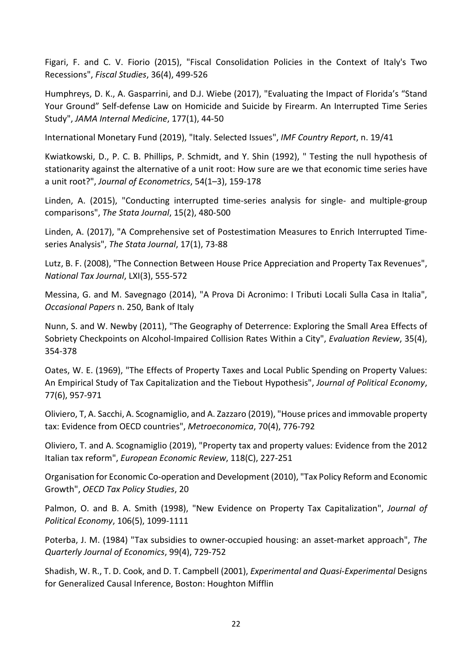Figari, F. and C. V. Fiorio (2015), "Fiscal Consolidation Policies in the Context of Italy's Two Recessions", *Fiscal Studies*, 36(4), 499-526

Humphreys, D. K., A. Gasparrini, and D.J. Wiebe (2017), "Evaluating the Impact of Florida's "Stand Your Ground" Self-defense Law on Homicide and Suicide by Firearm. An Interrupted Time Series Study", *JAMA Internal Medicine*, 177(1), 44-50

International Monetary Fund (2019), "Italy. Selected Issues", *IMF Country Report*, n. 19/41

Kwiatkowski, D., P. C. B. Phillips, P. Schmidt, and Y. Shin (1992), " Testing the null hypothesis of stationarity against the alternative of a unit root: How sure are we that economic time series have a unit root?", *Journal of Econometrics*, 54(1–3), 159-178

Linden, A. (2015), "Conducting interrupted time-series analysis for single- and multiple-group comparisons", *The Stata Journal*, 15(2), 480-500

Linden, A. (2017), "A Comprehensive set of Postestimation Measures to Enrich Interrupted Timeseries Analysis", *The Stata Journal*, 17(1), 73-88

Lutz, B. F. (2008), "The Connection Between House Price Appreciation and Property Tax Revenues", *National Tax Journal*, LXI(3), 555-572

Messina, G. and M. Savegnago (2014), "A Prova Di Acronimo: I Tributi Locali Sulla Casa in Italia", *Occasional Papers* n. 250, Bank of Italy

Nunn, S. and W. Newby (2011), "The Geography of Deterrence: Exploring the Small Area Effects of Sobriety Checkpoints on Alcohol-Impaired Collision Rates Within a City", *Evaluation Review*, 35(4), 354-378

Oates, W. E. (1969), "The Effects of Property Taxes and Local Public Spending on Property Values: An Empirical Study of Tax Capitalization and the Tiebout Hypothesis", *Journal of Political Economy*, 77(6), 957-971

Oliviero, T, A. Sacchi, A. Scognamiglio, and A. Zazzaro (2019), "House prices and immovable property tax: Evidence from OECD countries", *Metroeconomica*, 70(4), 776-792

Oliviero, T. and A. Scognamiglio (2019), "Property tax and property values: Evidence from the 2012 Italian tax reform", *European Economic Review*, 118(C), 227-251

Organisation for Economic Co-operation and Development (2010), "Tax Policy Reform and Economic Growth", *OECD Tax Policy Studies*, 20

Palmon, O. and B. A. Smith (1998), "New Evidence on Property Tax Capitalization", *Journal of Political Economy*, 106(5), 1099-1111

Poterba, J. M. (1984) "Tax subsidies to owner-occupied housing: an asset-market approach", *The Quarterly Journal of Economics*, 99(4), 729-752

Shadish, W. R., T. D. Cook, and D. T. Campbell (2001), *Experimental and Quasi-Experimental* Designs for Generalized Causal Inference, Boston: Houghton Mifflin